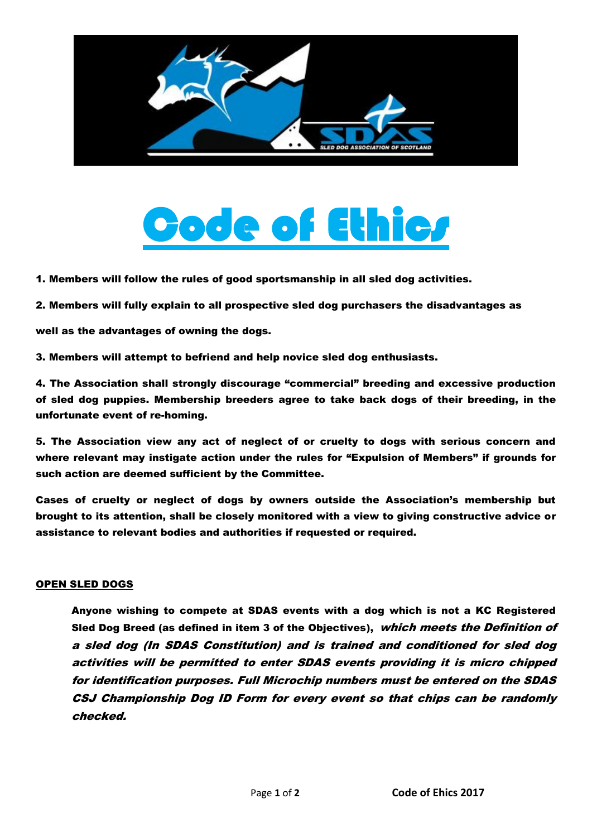

## de of Ethic*r*

1. Members will follow the rules of good sportsmanship in all sled dog activities.

2. Members will fully explain to all prospective sled dog purchasers the disadvantages as

well as the advantages of owning the dogs.

3. Members will attempt to befriend and help novice sled dog enthusiasts.

4. The Association shall strongly discourage "commercial" breeding and excessive production of sled dog puppies. Membership breeders agree to take back dogs of their breeding, in the unfortunate event of re-homing.

5. The Association view any act of neglect of or cruelty to dogs with serious concern and where relevant may instigate action under the rules for "Expulsion of Members" if grounds for such action are deemed sufficient by the Committee.

Cases of cruelty or neglect of dogs by owners outside the Association's membership but brought to its attention, shall be closely monitored with a view to giving constructive advice or assistance to relevant bodies and authorities if requested or required.

## OPEN SLED DOGS

Anyone wishing to compete at SDAS events with a dog which is not a KC Registered Sled Dog Breed (as defined in item 3 of the Objectives), which meets the Definition of a sled dog (In SDAS Constitution) and is trained and conditioned for sled dog activities will be permitted to enter SDAS events providing it is micro chipped for identification purposes. Full Microchip numbers must be entered on the SDAS CSJ Championship Dog ID Form for every event so that chips can be randomly checked.